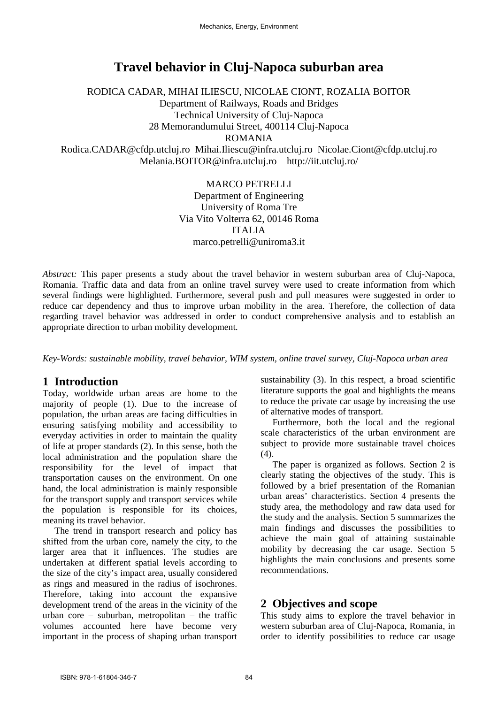# **Travel behavior in Cluj-Napoca suburban area**

RODICA CADAR, MIHAI ILIESCU, NICOLAE CIONT, ROZALIA BOITOR Department of Railways, Roads and Bridges Technical University of Cluj-Napoca 28 Memorandumului Street, 400114 Cluj-Napoca ROMANIA Rodica.CADAR@cfdp.utcluj.ro Mihai.Iliescu@infra.utcluj.ro Nicolae.Ciont@cfdp.utcluj.ro

Melania.BOITOR@infra.utcluj.ro http://iit.utcluj.ro/

#### MARCO PETRELLI

Department of Engineering University of Roma Tre Via Vito Volterra 62, 00146 Roma ITALIA marco.petrelli@uniroma3.it

*Abstract:* This paper presents a study about the travel behavior in western suburban area of Cluj-Napoca, Romania. Traffic data and data from an online travel survey were used to create information from which several findings were highlighted. Furthermore, several push and pull measures were suggested in order to reduce car dependency and thus to improve urban mobility in the area. Therefore, the collection of data regarding travel behavior was addressed in order to conduct comprehensive analysis and to establish an appropriate direction to urban mobility development.

*Key-Words: sustainable mobility, travel behavior, WIM system, online travel survey, Cluj-Napoca urban area*

# **1 Introduction**

Today, worldwide urban areas are home to the majority of people (1). Due to the increase of population, the urban areas are facing difficulties in ensuring satisfying mobility and accessibility to everyday activities in order to maintain the quality of life at proper standards (2). In this sense, both the local administration and the population share the responsibility for the level of impact that transportation causes on the environment. On one hand, the local administration is mainly responsible for the transport supply and transport services while the population is responsible for its choices, meaning its travel behavior.

The trend in transport research and policy has shifted from the urban core, namely the city, to the larger area that it influences. The studies are undertaken at different spatial levels according to the size of the city's impact area, usually considered as rings and measured in the radius of isochrones. Therefore, taking into account the expansive development trend of the areas in the vicinity of the urban core – suburban, metropolitan – the traffic volumes accounted here have become very important in the process of shaping urban transport sustainability (3). In this respect, a broad scientific literature supports the goal and highlights the means to reduce the private car usage by increasing the use of alternative modes of transport.

Furthermore, both the local and the regional scale characteristics of the urban environment are subject to provide more sustainable travel choices (4).

The paper is organized as follows. Section 2 is clearly stating the objectives of the study. This is followed by a brief presentation of the Romanian urban areas' characteristics. Section 4 presents the study area, the methodology and raw data used for the study and the analysis. Section 5 summarizes the main findings and discusses the possibilities to achieve the main goal of attaining sustainable mobility by decreasing the car usage. Section 5 highlights the main conclusions and presents some recommendations.

# **2 Objectives and scope**

This study aims to explore the travel behavior in western suburban area of Cluj-Napoca, Romania, in order to identify possibilities to reduce car usage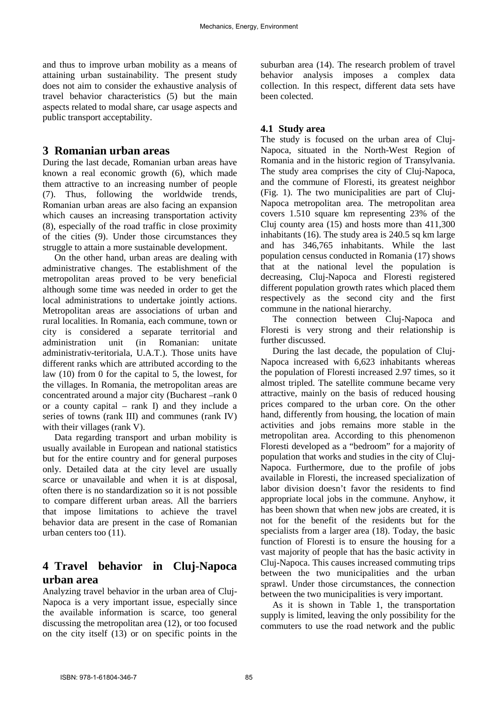and thus to improve urban mobility as a means of attaining urban sustainability. The present study does not aim to consider the exhaustive analysis of travel behavior characteristics (5) but the main aspects related to modal share, car usage aspects and public transport acceptability.

### **3 Romanian urban areas**

During the last decade, Romanian urban areas have known a real economic growth (6), which made them attractive to an increasing number of people (7). Thus, following the worldwide trends, Romanian urban areas are also facing an expansion which causes an increasing transportation activity (8), especially of the road traffic in close proximity of the cities (9). Under those circumstances they struggle to attain a more sustainable development.

On the other hand, urban areas are dealing with administrative changes. The establishment of the metropolitan areas proved to be very beneficial although some time was needed in order to get the local administrations to undertake jointly actions. Metropolitan areas are associations of urban and rural localities. In Romania, each commune, town or city is considered a separate territorial and administration unit (in Romanian: unitate administrativ-teritoriala, U.A.T.). Those units have different ranks which are attributed according to the law (10) from 0 for the capital to 5, the lowest, for the villages. In Romania, the metropolitan areas are concentrated around a major city (Bucharest –rank 0 or a county capital – rank I) and they include a series of towns (rank III) and communes (rank IV) with their villages (rank V).

Data regarding transport and urban mobility is usually available in European and national statistics but for the entire country and for general purposes only. Detailed data at the city level are usually scarce or unavailable and when it is at disposal, often there is no standardization so it is not possible to compare different urban areas. All the barriers that impose limitations to achieve the travel behavior data are present in the case of Romanian urban centers too (11).

# **4 Travel behavior in Cluj-Napoca urban area**

Analyzing travel behavior in the urban area of Cluj-Napoca is a very important issue, especially since the available information is scarce, too general discussing the metropolitan area (12), or too focused on the city itself (13) or on specific points in the suburban area (14). The research problem of travel behavior analysis imposes a complex data collection. In this respect, different data sets have been colected.

### **4.1 Study area**

The study is focused on the urban area of Cluj-Napoca, situated in the North-West Region of Romania and in the historic region of Transylvania. The study area comprises the city of Cluj-Napoca, and the commune of Floresti, its greatest neighbor (Fig. 1). The two municipalities are part of Cluj-Napoca metropolitan area. The metropolitan area covers 1.510 square km representing 23% of the Cluj county area (15) and hosts more than 411,300 inhabitants  $(16)$ . The study area is 240.5 sq km large and has 346,765 inhabitants. While the last population census conducted in Romania (17) shows that at the national level the population is decreasing, Cluj-Napoca and Floresti registered different population growth rates which placed them respectively as the second city and the first commune in the national hierarchy.

The connection between Cluj-Napoca and Floresti is very strong and their relationship is further discussed.

During the last decade, the population of Cluj-Napoca increased with 6,623 inhabitants whereas the population of Floresti increased 2.97 times, so it almost tripled. The satellite commune became very attractive, mainly on the basis of reduced housing prices compared to the urban core. On the other hand, differently from housing, the location of main activities and jobs remains more stable in the metropolitan area. According to this phenomenon Floresti developed as a "bedroom" for a majority of population that works and studies in the city of Cluj-Napoca. Furthermore, due to the profile of jobs available in Floresti, the increased specialization of labor division doesn't favor the residents to find appropriate local jobs in the commune. Anyhow, it has been shown that when new jobs are created, it is not for the benefit of the residents but for the specialists from a larger area (18). Today, the basic function of Floresti is to ensure the housing for a vast majority of people that has the basic activity in Cluj-Napoca. This causes increased commuting trips between the two municipalities and the urban sprawl. Under those circumstances, the connection between the two municipalities is very important.

As it is shown in Table 1, the transportation supply is limited, leaving the only possibility for the commuters to use the road network and the public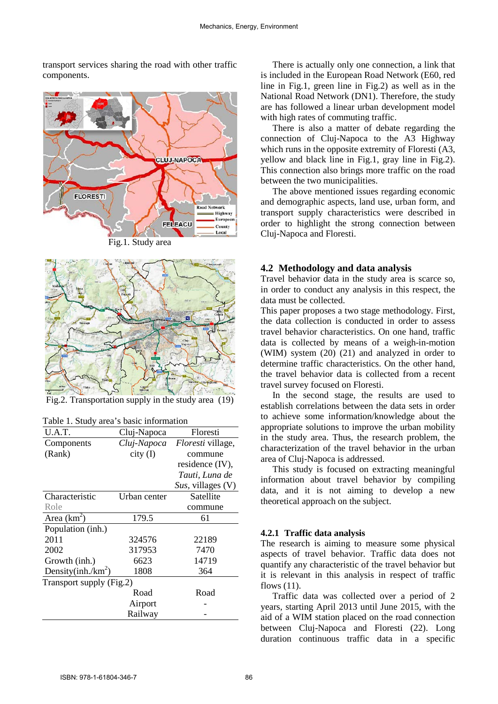transport services sharing the road with other traffic components.



Fig.1. Study area



Fig.2. Transportation supply in the study area (19)

Table 1. Study area's basic information

| U.A.T.                   | Cluj-Napoca  | Floresti                 |  |  |
|--------------------------|--------------|--------------------------|--|--|
| Components               | Cluj-Napoca  | <i>Floresti</i> village, |  |  |
| (Rank)                   | $city$ (I)   | commune                  |  |  |
|                          |              | residence (IV),          |  |  |
|                          |              | Tauti, Luna de           |  |  |
|                          |              | Sus, villages $(V)$      |  |  |
| Characteristic           | Urban center | Satellite                |  |  |
| Role                     |              | commune                  |  |  |
| Area $(km^2)$            | 179.5        | 61                       |  |  |
| Population (inh.)        |              |                          |  |  |
| 2011                     | 324576       | 22189                    |  |  |
| 2002                     | 317953       | 7470                     |  |  |
| Growth (inh.)            | 6623         | 14719                    |  |  |
| Density(inh./ $km^2$ )   | 1808         | 364                      |  |  |
| Transport supply (Fig.2) |              |                          |  |  |
|                          | Road         | Road                     |  |  |
|                          | Airport      |                          |  |  |
|                          | Railway      |                          |  |  |
|                          |              |                          |  |  |

There is actually only one connection, a link that is included in the European Road Network (E60, red line in Fig.1, green line in Fig.2) as well as in the National Road Network (DN1). Therefore, the study are has followed a linear urban development model with high rates of commuting traffic.

There is also a matter of debate regarding the connection of Cluj-Napoca to the A3 Highway which runs in the opposite extremity of Floresti (A3, yellow and black line in Fig.1, gray line in Fig.2). This connection also brings more traffic on the road between the two municipalities.

The above mentioned issues regarding economic and demographic aspects, land use, urban form, and transport supply characteristics were described in order to highlight the strong connection between Cluj-Napoca and Floresti.

#### **4.2 Methodology and data analysis**

Travel behavior data in the study area is scarce so, in order to conduct any analysis in this respect, the data must be collected.

This paper proposes a two stage methodology. First, the data collection is conducted in order to assess travel behavior characteristics. On one hand, traffic data is collected by means of a weigh-in-motion (WIM) system (20) (21) and analyzed in order to determine traffic characteristics. On the other hand, the travel behavior data is collected from a recent travel survey focused on Floresti.

In the second stage, the results are used to establish correlations between the data sets in order to achieve some information/knowledge about the appropriate solutions to improve the urban mobility in the study area. Thus, the research problem, the characterization of the travel behavior in the urban area of Cluj-Napoca is addressed.

This study is focused on extracting meaningful information about travel behavior by compiling data, and it is not aiming to develop a new theoretical approach on the subject.

#### **4.2.1 Traffic data analysis**

The research is aiming to measure some physical aspects of travel behavior. Traffic data does not quantify any characteristic of the travel behavior but it is relevant in this analysis in respect of traffic flows (11).

Traffic data was collected over a period of 2 years, starting April 2013 until June 2015, with the aid of a WIM station placed on the road connection between Cluj-Napoca and Floresti (22). Long duration continuous traffic data in a specific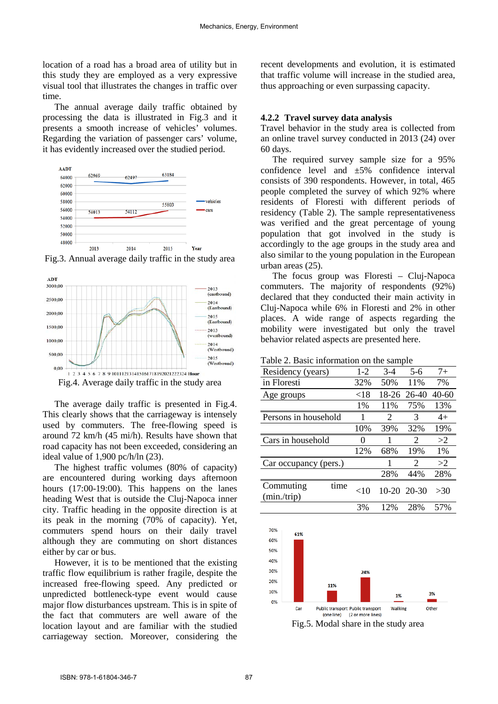location of a road has a broad area of utility but in this study they are employed as a very expressive visual tool that illustrates the changes in traffic over time.

The annual average daily traffic obtained by processing the data is illustrated in Fig.3 and it presents a smooth increase of vehicles' volumes. Regarding the variation of passenger cars' volume, it has evidently increased over the studied period.



<sup>2013</sup><sup>2014</sup> <sup>2015</sup> <sup>2015</sup> <sup>2015</sup> Fig.3. Annual average daily traffic in the study area



Fig.4. Average daily traffic in the study area

The average daily traffic is presented in Fig.4. This clearly shows that the carriageway is intensely used by commuters. The free-flowing speed is around 72 km/h (45 mi/h). Results have shown that road capacity has not been exceeded, considering an ideal value of 1,900 pc/h/ln (23).

The highest traffic volumes (80% of capacity) are encountered during working days afternoon hours (17:00-19:00). This happens on the lanes heading West that is outside the Cluj-Napoca inner city. Traffic heading in the opposite direction is at its peak in the morning (70% of capacity). Yet, commuters spend hours on their daily travel although they are commuting on short distances either by car or bus.

However, it is to be mentioned that the existing traffic flow equilibrium is rather fragile, despite the increased free-flowing speed. Any predicted or unpredicted bottleneck-type event would cause major flow disturbances upstream. This is in spite of the fact that commuters are well aware of the location layout and are familiar with the studied carriageway section. Moreover, considering the

recent developments and evolution, it is estimated that traffic volume will increase in the studied area, thus approaching or even surpassing capacity.

#### **4.2.2 Travel survey data analysis**

Travel behavior in the study area is collected from an online travel survey conducted in 2013 (24) over 60 days.

The required survey sample size for a 95% confidence level and ±5% confidence interval consists of 390 respondents. However, in total, 465 people completed the survey of which 92% where residents of Floresti with different periods of residency (Table 2). The sample representativeness was verified and the great percentage of young population that got involved in the study is accordingly to the age groups in the study area and also similar to the young population in the European urban areas (25).

The focus group was Floresti – Cluj-Napoca commuters. The majority of respondents (92%) declared that they conducted their main activity in Cluj-Napoca while 6% in Floresti and 2% in other places. A wide range of aspects regarding the mobility were investigated but only the travel behavior related aspects are presented here.

Table 2. Basic information on the sample

| Residency (years)               | $1-2$             | $3-4$ | $5-6$                       | $7+$  |
|---------------------------------|-------------------|-------|-----------------------------|-------|
| in Floresti                     | 32%               | 50%   | 11%                         | 7%    |
| Age groups                      | ${<}18$           | 18-26 | $26-40$                     | 40-60 |
|                                 | 1%                | 11%   | 75%                         | 13%   |
| Persons in household            | 1                 | 2     | 3                           | $4+$  |
|                                 | 10%               | 39%   | 32%                         | 19%   |
| Cars in household               | $\mathbf{\Omega}$ |       | $\mathcal{D}_{\mathcal{L}}$ | >2    |
|                                 | 12%               | 68%   | 19%                         | 1%    |
| Car occupancy (pers.)           |                   | 1     | 2                           | >2    |
|                                 |                   | 28%   | 44%                         | 28%   |
| Commuting<br>time<br>(min/trip) | $<$ 10            |       | 10-20 20-30                 | >30   |
|                                 | 3%                | 12%   | 28%                         | 57%   |



Fig.5. Modal share in the study area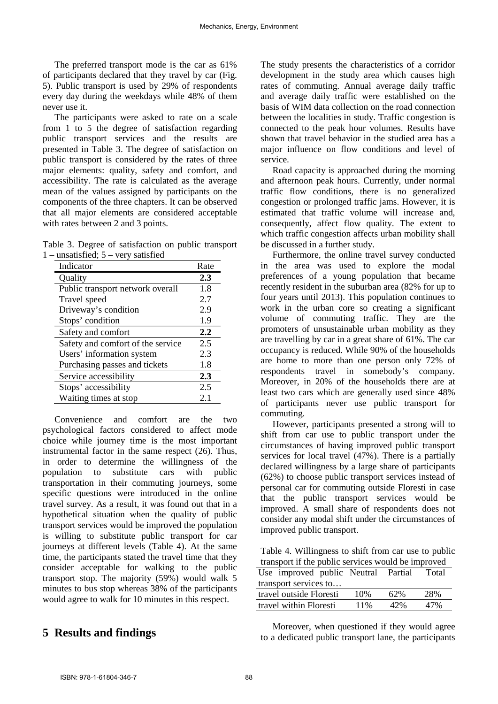The preferred transport mode is the car as 61% of participants declared that they travel by car (Fig. 5). Public transport is used by 29% of respondents every day during the weekdays while 48% of them never use it.

The participants were asked to rate on a scale from 1 to 5 the degree of satisfaction regarding public transport services and the results are presented in Table 3. The degree of satisfaction on public transport is considered by the rates of three major elements: quality, safety and comfort, and accessibility. The rate is calculated as the average mean of the values assigned by participants on the components of the three chapters. It can be observed that all major elements are considered acceptable with rates between 2 and 3 points.

Table 3. Degree of satisfaction on public transport 1 – unsatisfied; 5 – very satisfied

| Indicator                         | Rate |
|-----------------------------------|------|
| Quality                           | 2.3  |
| Public transport network overall  | 1.8  |
| Travel speed                      | 2.7  |
| Driveway's condition              | 2.9  |
| Stops' condition                  | 1.9  |
| Safety and comfort                | 2.2  |
| Safety and comfort of the service | 2.5  |
| Users' information system         | 2.3  |
| Purchasing passes and tickets     | 1.8  |
| Service accessibility             | 2.3  |
| Stops' accessibility              | 2.5  |
| Waiting times at stop             | 2.1  |

Convenience and comfort are the two psychological factors considered to affect mode choice while journey time is the most important instrumental factor in the same respect (26). Thus, in order to determine the willingness of the population to substitute cars with public transportation in their commuting journeys, some specific questions were introduced in the online travel survey. As a result, it was found out that in a hypothetical situation when the quality of public transport services would be improved the population is willing to substitute public transport for car journeys at different levels (Table 4). At the same time, the participants stated the travel time that they consider acceptable for walking to the public transport stop. The majority (59%) would walk 5 minutes to bus stop whereas 38% of the participants would agree to walk for 10 minutes in this respect.

# **5 Results and findings**

The study presents the characteristics of a corridor development in the study area which causes high rates of commuting. Annual average daily traffic and average daily traffic were established on the basis of WIM data collection on the road connection between the localities in study. Traffic congestion is connected to the peak hour volumes. Results have shown that travel behavior in the studied area has a major influence on flow conditions and level of service.

Road capacity is approached during the morning and afternoon peak hours. Currently, under normal traffic flow conditions, there is no generalized congestion or prolonged traffic jams. However, it is estimated that traffic volume will increase and, consequently, affect flow quality. The extent to which traffic congestion affects urban mobility shall be discussed in a further study.

Furthermore, the online travel survey conducted in the area was used to explore the modal preferences of a young population that became recently resident in the suburban area (82% for up to four years until 2013). This population continues to work in the urban core so creating a significant volume of commuting traffic. They are the promoters of unsustainable urban mobility as they are travelling by car in a great share of 61%. The car occupancy is reduced. While 90% of the households are home to more than one person only 72% of respondents travel in somebody's company. Moreover, in 20% of the households there are at least two cars which are generally used since 48% of participants never use public transport for commuting.

However, participants presented a strong will to shift from car use to public transport under the circumstances of having improved public transport services for local travel (47%). There is a partially declared willingness by a large share of participants (62%) to choose public transport services instead of personal car for commuting outside Floresti in case that the public transport services would be improved. A small share of respondents does not consider any modal shift under the circumstances of improved public transport.

Table 4. Willingness to shift from car use to public transport if the public services would be improved

| Use improved public Neutral Partial |     |     | Total |  |
|-------------------------------------|-----|-----|-------|--|
| transport services to               |     |     |       |  |
| travel outside Floresti             | 10% | 62% | 28%   |  |
| travel within Floresti              | 11% | 42% | 47%   |  |

Moreover, when questioned if they would agree to a dedicated public transport lane, the participants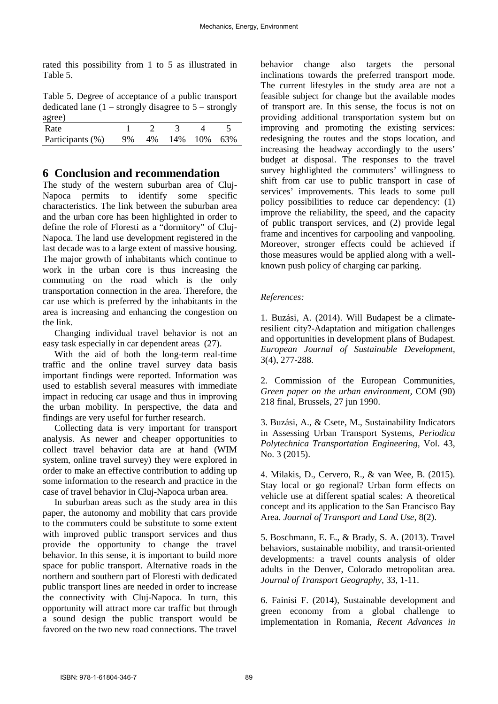rated this possibility from 1 to 5 as illustrated in Table 5.

Table 5. Degree of acceptance of a public transport dedicated lane  $(1 -$  strongly disagree to  $5 -$  strongly agree)

| Rate             |  |     |     |     |
|------------------|--|-----|-----|-----|
| Participants (%) |  | 14% | 10% | 63% |

## **6 Conclusion and recommendation**

The study of the western suburban area of Cluj-Napoca permits to identify some specific characteristics. The link between the suburban area and the urban core has been highlighted in order to define the role of Floresti as a "dormitory" of Cluj-Napoca. The land use development registered in the last decade was to a large extent of massive housing. The major growth of inhabitants which continue to work in the urban core is thus increasing the commuting on the road which is the only transportation connection in the area. Therefore, the car use which is preferred by the inhabitants in the area is increasing and enhancing the congestion on the link.

Changing individual travel behavior is not an easy task especially in car dependent areas (27).

With the aid of both the long-term real-time traffic and the online travel survey data basis important findings were reported. Information was used to establish several measures with immediate impact in reducing car usage and thus in improving the urban mobility. In perspective, the data and findings are very useful for further research.

Collecting data is very important for transport analysis. As newer and cheaper opportunities to collect travel behavior data are at hand (WIM system, online travel survey) they were explored in order to make an effective contribution to adding up some information to the research and practice in the case of travel behavior in Cluj-Napoca urban area.

In suburban areas such as the study area in this paper, the autonomy and mobility that cars provide to the commuters could be substitute to some extent with improved public transport services and thus provide the opportunity to change the travel behavior. In this sense, it is important to build more space for public transport. Alternative roads in the northern and southern part of Floresti with dedicated public transport lines are needed in order to increase the connectivity with Cluj-Napoca. In turn, this opportunity will attract more car traffic but through a sound design the public transport would be favored on the two new road connections. The travel behavior change also targets the personal inclinations towards the preferred transport mode. The current lifestyles in the study area are not a feasible subject for change but the available modes of transport are. In this sense, the focus is not on providing additional transportation system but on improving and promoting the existing services: redesigning the routes and the stops location, and increasing the headway accordingly to the users' budget at disposal. The responses to the travel survey highlighted the commuters' willingness to shift from car use to public transport in case of services' improvements. This leads to some pull policy possibilities to reduce car dependency: (1) improve the reliability, the speed, and the capacity of public transport services, and (2) provide legal frame and incentives for carpooling and vanpooling. Moreover, stronger effects could be achieved if those measures would be applied along with a wellknown push policy of charging car parking.

#### *References:*

1. Buzási, A. (2014). Will Budapest be a climateresilient city?-Adaptation and mitigation challenges and opportunities in development plans of Budapest. *European Journal of Sustainable Development,*  3(4), 277-288.

2. Commission of the European Communities, *Green paper on the urban environment,* COM (90) 218 final, Brussels, 27 jun 1990.

3. Buzási, A., & Csete, M., Sustainability Indicators in Assessing Urban Transport Systems, *Periodica Polytechnica Transportation Engineering,* Vol. 43, No. 3 (2015).

4. Milakis, D., Cervero, R., & van Wee, B. (2015). Stay local or go regional? Urban form effects on vehicle use at different spatial scales: A theoretical concept and its application to the San Francisco Bay Area. *Journal of Transport and Land Use,* 8(2).

5. Boschmann, E. E., & Brady, S. A. (2013). Travel behaviors, sustainable mobility, and transit-oriented developments: a travel counts analysis of older adults in the Denver, Colorado metropolitan area. *Journal of Transport Geography,* 33, 1-11.

6. Fainisi F. (2014), Sustainable development and green economy from a global challenge to implementation in Romania, *Recent Advances in*